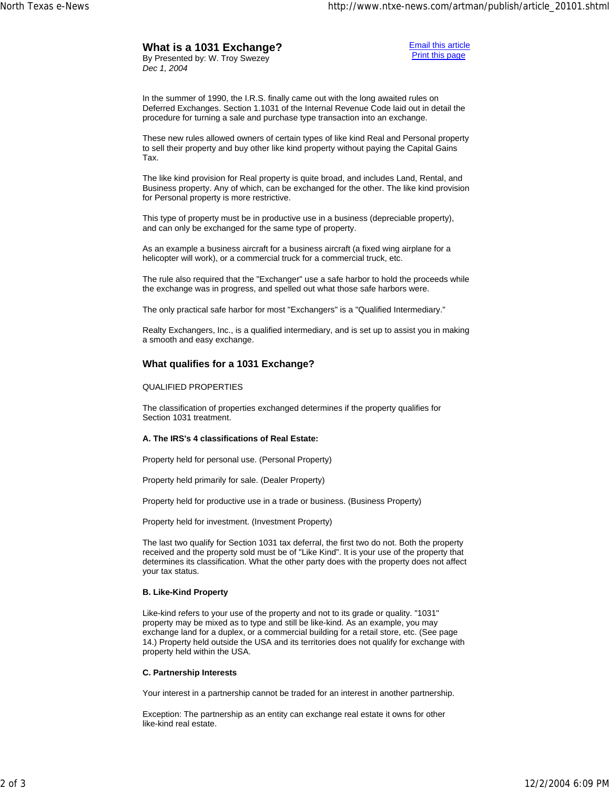# **What is a 1031 Exchange?**

By Presented by: W. Troy Swezey *Dec 1, 2004*

Email this article Print this page

In the summer of 1990, the I.R.S. finally came out with the long awaited rules on Deferred Exchanges. Section 1.1031 of the Internal Revenue Code laid out in detail the procedure for turning a sale and purchase type transaction into an exchange.

These new rules allowed owners of certain types of like kind Real and Personal property to sell their property and buy other like kind property without paying the Capital Gains Tax.

The like kind provision for Real property is quite broad, and includes Land, Rental, and Business property. Any of which, can be exchanged for the other. The like kind provision for Personal property is more restrictive.

This type of property must be in productive use in a business (depreciable property), and can only be exchanged for the same type of property.

As an example a business aircraft for a business aircraft (a fixed wing airplane for a helicopter will work), or a commercial truck for a commercial truck, etc.

The rule also required that the "Exchanger" use a safe harbor to hold the proceeds while the exchange was in progress, and spelled out what those safe harbors were.

The only practical safe harbor for most "Exchangers" is a "Qualified Intermediary."

Realty Exchangers, Inc., is a qualified intermediary, and is set up to assist you in making a smooth and easy exchange.

## **What qualifies for a 1031 Exchange?**

### QUALIFIED PROPERTIES

The classification of properties exchanged determines if the property qualifies for Section 1031 treatment.

### **A. The IRS's 4 classifications of Real Estate:**

Property held for personal use. (Personal Property)

Property held primarily for sale. (Dealer Property)

Property held for productive use in a trade or business. (Business Property)

Property held for investment. (Investment Property)

The last two qualify for Section 1031 tax deferral, the first two do not. Both the property received and the property sold must be of "Like Kind". It is your use of the property that determines its classification. What the other party does with the property does not affect your tax status.

### **B. Like-Kind Property**

Like-kind refers to your use of the property and not to its grade or quality. "1031" property may be mixed as to type and still be like-kind. As an example, you may exchange land for a duplex, or a commercial building for a retail store, etc. (See page 14.) Property held outside the USA and its territories does not qualify for exchange with property held within the USA.

### **C. Partnership Interests**

Your interest in a partnership cannot be traded for an interest in another partnership.

Exception: The partnership as an entity can exchange real estate it owns for other like-kind real estate.